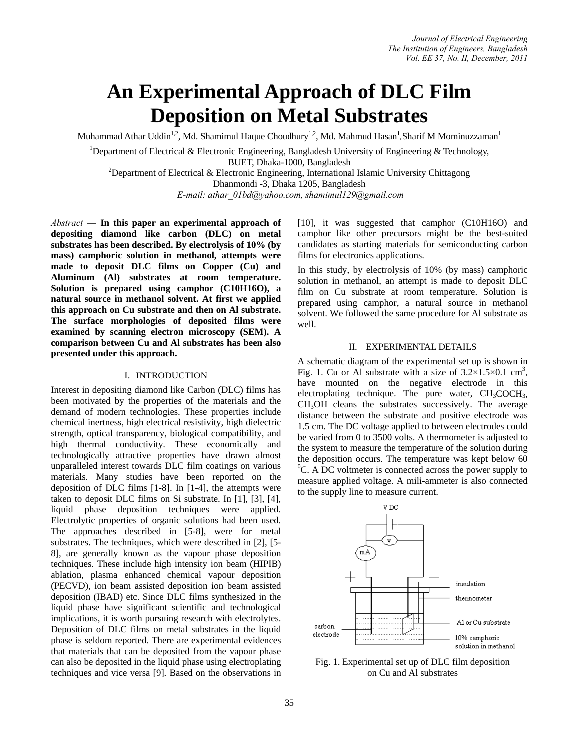# **An Experimental Approach of DLC Film Deposition on Metal Substrates**

Muhammad Athar Uddin<sup>1,2</sup>, Md. Shamimul Haque Choudhury<sup>1,2</sup>, Md. Mahmud Hasan<sup>1</sup>, Sharif M Mominuzzaman<sup>1</sup>

<sup>1</sup>Department of Electrical & Electronic Engineering, Bangladesh University of Engineering & Technology, BUET, Dhaka-1000, Bangladesh<br>
<sup>2</sup>Department of Electrical & Electronic Engineering, International Islamic University Chittagong Dhanmondi -3, Dhaka 1205, Bangladesh

*E-mail: athar\_01bd@yahoo.com, shamimul129@gmail.com*

*Abstract ―* **In this paper an experimental approach of depositing diamond like carbon (DLC) on metal substrates has been described. By electrolysis of 10% (by mass) camphoric solution in methanol, attempts were made to deposit DLC films on Copper (Cu) and Aluminum (Al) substrates at room temperature. Solution is prepared using camphor (C10H16O), a natural source in methanol solvent. At first we applied this approach on Cu substrate and then on Al substrate. The surface morphologies of deposited films were examined by scanning electron microscopy (SEM). A comparison between Cu and Al substrates has been also presented under this approach.** 

## I. INTRODUCTION

Interest in depositing diamond like Carbon (DLC) films has been motivated by the properties of the materials and the demand of modern technologies. These properties include chemical inertness, high electrical resistivity, high dielectric strength, optical transparency, biological compatibility, and high thermal conductivity. These economically and technologically attractive properties have drawn almost unparalleled interest towards DLC film coatings on various materials. Many studies have been reported on the deposition of DLC films [1-8]. In [1-4], the attempts were taken to deposit DLC films on Si substrate. In [1], [3], [4], liquid phase deposition techniques were applied. Electrolytic properties of organic solutions had been used. The approaches described in [5-8], were for metal substrates. The techniques, which were described in [2], [5- 8], are generally known as the vapour phase deposition techniques. These include high intensity ion beam (HIPIB) ablation, plasma enhanced chemical vapour deposition (PECVD), ion beam assisted deposition ion beam assisted deposition (IBAD) etc. Since DLC films synthesized in the liquid phase have significant scientific and technological implications, it is worth pursuing research with electrolytes. Deposition of DLC films on metal substrates in the liquid phase is seldom reported. There are experimental evidences that materials that can be deposited from the vapour phase can also be deposited in the liquid phase using electroplating techniques and vice versa [9]. Based on the observations in [10], it was suggested that camphor (C10H16O) and camphor like other precursors might be the best-suited candidates as starting materials for semiconducting carbon films for electronics applications.

In this study, by electrolysis of 10% (by mass) camphoric solution in methanol, an attempt is made to deposit DLC film on Cu substrate at room temperature. Solution is prepared using camphor, a natural source in methanol solvent. We followed the same procedure for Al substrate as well.

## II. EXPERIMENTAL DETAILS

A schematic diagram of the experimental set up is shown in Fig. 1. Cu or Al substrate with a size of  $3.2 \times 1.5 \times 0.1$  cm<sup>3</sup>, have mounted on the negative electrode in this electroplating technique. The pure water,  $CH<sub>3</sub>COCH<sub>3</sub>$ , CH3OH cleans the substrates successively. The average distance between the substrate and positive electrode was 1.5 cm. The DC voltage applied to between electrodes could be varied from 0 to 3500 volts. A thermometer is adjusted to the system to measure the temperature of the solution during the deposition occurs. The temperature was kept below 60 <sup>0</sup>C. A DC voltmeter is connected across the power supply to measure applied voltage. A mili-ammeter is also connected to the supply line to measure current.



Fig. 1. Experimental set up of DLC film deposition on Cu and Al substrates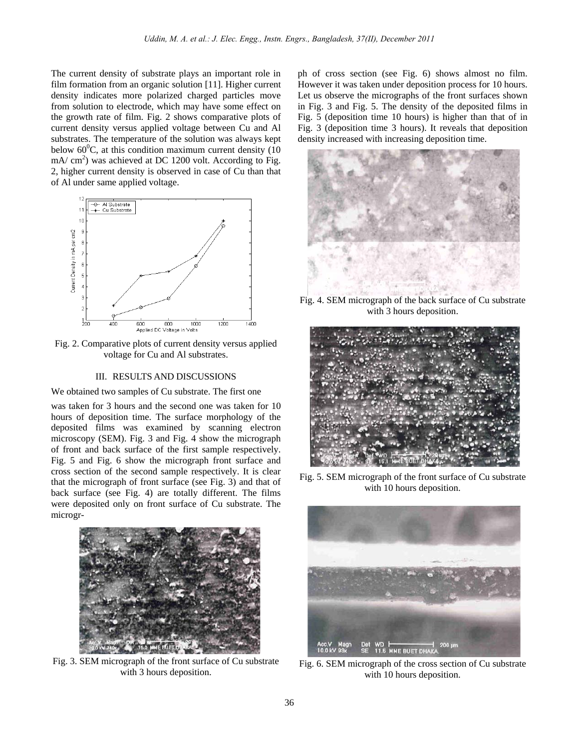The current density of substrate plays an important role in film formation from an organic solution [11]. Higher current density indicates more polarized charged particles move from solution to electrode, which may have some effect on the growth rate of film. Fig. 2 shows comparative plots of current density versus applied voltage between Cu and Al substrates. The temperature of the solution was always kept below  $60^{\circ}$ C, at this condition maximum current density (10  $mA/cm<sup>2</sup>$ ) was achieved at DC 1200 volt. According to Fig. 2, higher current density is observed in case of Cu than that of Al under same applied voltage.



Fig. 2. Comparative plots of current density versus applied voltage for Cu and Al substrates.

## III. RESULTS AND DISCUSSIONS

We obtained two samples of Cu substrate. The first one

was taken for 3 hours and the second one was taken for 10 hours of deposition time. The surface morphology of the deposited films was examined by scanning electron microscopy (SEM). Fig. 3 and Fig. 4 show the micrograph of front and back surface of the first sample respectively. Fig. 5 and Fig. 6 show the micrograph front surface and cross section of the second sample respectively. It is clear that the micrograph of front surface (see Fig. 3) and that of back surface (see Fig. 4) are totally different. The films were deposited only on front surface of Cu substrate. The microgr-



Fig. 3. SEM micrograph of the front surface of Cu substrate with 3 hours deposition.

ph of cross section (see Fig. 6) shows almost no film. However it was taken under deposition process for 10 hours. Let us observe the micrographs of the front surfaces shown in Fig. 3 and Fig. 5. The density of the deposited films in Fig. 5 (deposition time 10 hours) is higher than that of in Fig. 3 (deposition time 3 hours). It reveals that deposition density increased with increasing deposition time.



Fig. 4. SEM micrograph of the back surface of Cu substrate with 3 hours deposition.



Fig. 5. SEM micrograph of the front surface of Cu substrate with 10 hours deposition.



Fig. 6. SEM micrograph of the cross section of Cu substrate with 10 hours deposition.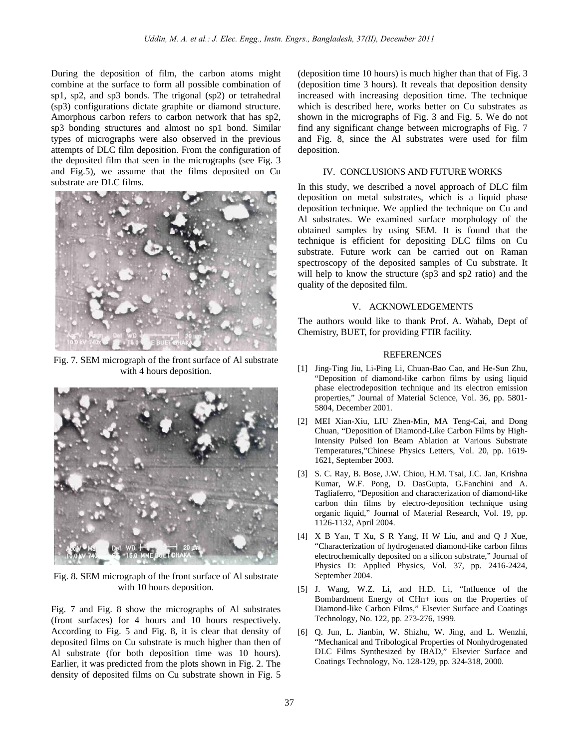During the deposition of film, the carbon atoms might combine at the surface to form all possible combination of sp1, sp2, and sp3 bonds. The trigonal (sp2) or tetrahedral (sp3) configurations dictate graphite or diamond structure. Amorphous carbon refers to carbon network that has sp2, sp3 bonding structures and almost no sp1 bond. Similar types of micrographs were also observed in the previous attempts of DLC film deposition. From the configuration of the deposited film that seen in the micrographs (see Fig. 3 and Fig.5), we assume that the films deposited on Cu substrate are DLC films.



Fig. 7. SEM micrograph of the front surface of Al substrate with 4 hours deposition.



Fig. 8. SEM micrograph of the front surface of Al substrate with 10 hours deposition.

Fig. 7 and Fig. 8 show the micrographs of Al substrates (front surfaces) for 4 hours and 10 hours respectively. According to Fig. 5 and Fig. 8, it is clear that density of deposited films on Cu substrate is much higher than then of Al substrate (for both deposition time was 10 hours). Earlier, it was predicted from the plots shown in Fig. 2. The density of deposited films on Cu substrate shown in Fig. 5

(deposition time 10 hours) is much higher than that of Fig. 3 (deposition time 3 hours). It reveals that deposition density increased with increasing deposition time. The technique which is described here, works better on Cu substrates as shown in the micrographs of Fig. 3 and Fig. 5. We do not find any significant change between micrographs of Fig. 7 and Fig. 8, since the Al substrates were used for film deposition.

#### IV. CONCLUSIONS AND FUTURE WORKS

In this study, we described a novel approach of DLC film deposition on metal substrates, which is a liquid phase deposition technique. We applied the technique on Cu and Al substrates. We examined surface morphology of the obtained samples by using SEM. It is found that the technique is efficient for depositing DLC films on Cu substrate. Future work can be carried out on Raman spectroscopy of the deposited samples of Cu substrate. It will help to know the structure (sp3 and sp2 ratio) and the quality of the deposited film.

#### V. ACKNOWLEDGEMENTS

The authors would like to thank Prof. A. Wahab, Dept of Chemistry, BUET, for providing FTIR facility.

#### REFERENCES

- [1] Jing-Ting Jiu, Li-Ping Li, Chuan-Bao Cao, and He-Sun Zhu, "Deposition of diamond-like carbon films by using liquid phase electrodeposition technique and its electron emission properties," Journal of Material Science, Vol. 36, pp. 5801- 5804, December 2001.
- [2] MEI Xian-Xiu, LIU Zhen-Min, MA Teng-Cai, and Dong Chuan, "Deposition of Diamond-Like Carbon Films by High-Intensity Pulsed Ion Beam Ablation at Various Substrate Temperatures,"Chinese Physics Letters, Vol. 20, pp. 1619- 1621, September 2003.
- [3] S. C. Ray, B. Bose, J.W. Chiou, H.M. Tsai, J.C. Jan, Krishna Kumar, W.F. Pong, D. DasGupta, G.Fanchini and A. Tagliaferro, "Deposition and characterization of diamond-like carbon thin films by electro-deposition technique using organic liquid," Journal of Material Research, Vol. 19, pp. 1126-1132, April 2004.
- [4] X B Yan, T Xu, S R Yang, H W Liu, and and Q J Xue, "Characterization of hydrogenated diamond-like carbon films electrochemically deposited on a silicon substrate," Journal of Physics D: Applied Physics, Vol. 37, pp. 2416-2424, September 2004.
- [5] J. Wang, W.Z. Li, and H.D. Li, "Influence of the Bombardment Energy of CHn+ ions on the Properties of Diamond-like Carbon Films," Elsevier Surface and Coatings Technology, No. 122, pp. 273-276, 1999.
- [6] Q. Jun, L. Jianbin, W. Shizhu, W. Jing, and L. Wenzhi, "Mechanical and Tribological Properties of Nonhydrogenated DLC Films Synthesized by IBAD," Elsevier Surface and Coatings Technology, No. 128-129, pp. 324-318, 2000.